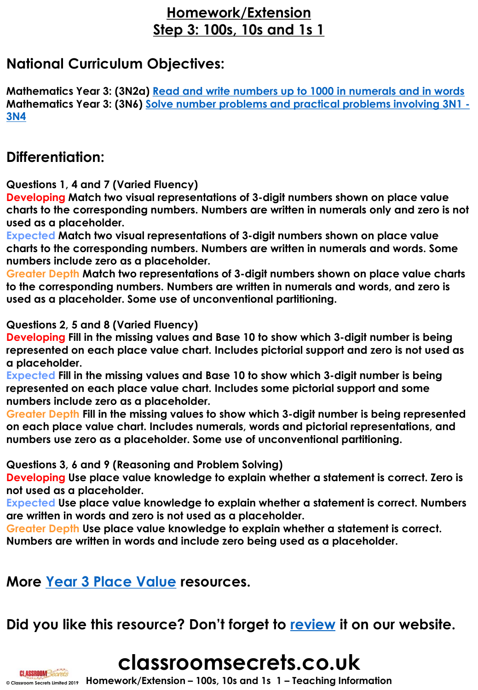### **Homework/Extension Step 3: 100s, 10s and 1s 1**

### **National Curriculum Objectives:**

**Mathematics Year 3: (3N2a) [Read and write numbers up to 1000 in numerals and in words](https://classroomsecrets.co.uk/content-domain-filter/?fwp_contentdomain=3n2a) Mathematics Year 3: (3N6) [Solve number problems and practical problems involving](https://classroomsecrets.co.uk/content-domain-filter/?fwp_contentdomain=3n6) 3N1 - 3N4**

### **Differentiation:**

**Questions 1, 4 and 7 (Varied Fluency)**

**Developing Match two visual representations of 3-digit numbers shown on place value charts to the corresponding numbers. Numbers are written in numerals only and zero is not used as a placeholder.** 

**Expected Match two visual representations of 3-digit numbers shown on place value charts to the corresponding numbers. Numbers are written in numerals and words. Some numbers include zero as a placeholder.** 

**Greater Depth Match two representations of 3-digit numbers shown on place value charts to the corresponding numbers. Numbers are written in numerals and words, and zero is used as a placeholder. Some use of unconventional partitioning.**

**Questions 2, 5 and 8 (Varied Fluency)**

**Developing Fill in the missing values and Base 10 to show which 3-digit number is being represented on each place value chart. Includes pictorial support and zero is not used as a placeholder.** 

**Expected Fill in the missing values and Base 10 to show which 3-digit number is being represented on each place value chart. Includes some pictorial support and some numbers include zero as a placeholder.** 

**Greater Depth Fill in the missing values to show which 3-digit number is being represented on each place value chart. Includes numerals, words and pictorial representations, and numbers use zero as a placeholder. Some use of unconventional partitioning.**

**Questions 3, 6 and 9 (Reasoning and Problem Solving)**

**Developing Use place value knowledge to explain whether a statement is correct. Zero is not used as a placeholder.** 

**Expected Use place value knowledge to explain whether a statement is correct. Numbers are written in words and zero is not used as a placeholder.** 

**Greater Depth Use place value knowledge to explain whether a statement is correct.** 

**Numbers are written in words and include zero being used as a placeholder.** 

**More [Year 3 Place Value](https://classroomsecrets.co.uk/category/maths/year-3/autumn-block-1-place-value-year-3/) resources.**

### **Did you like this resource? Don't forget to [review](https://classroomsecrets.co.uk/100s-10s-1s-1-homework-extension-year-3-place-value/) it on our website.**

# **classroomsecrets.co.uk**

**© Classroom Secrets Limited 2019 Homework/Extension – 100s, 10s and 1s 1 – Teaching Information**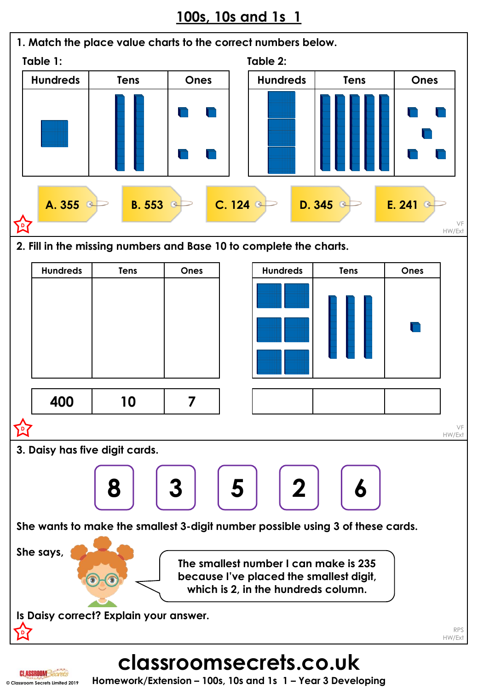

## **classroomsecrets.co.uk**

**CI.ASSROOMSecr © Classroom Secrets Limited 2019**

**Homework/Extension – 100s, 10s and 1s 1 – Year 3 Developing**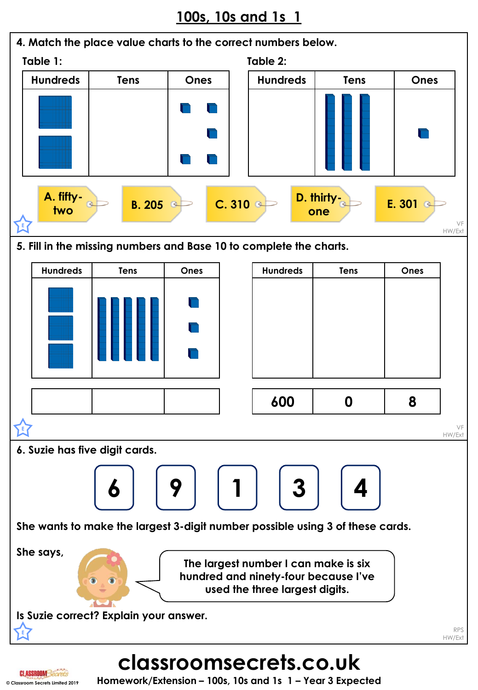

### **© Classroom Secrets Limited 2019 Homework/Extension – 100s, 10s and 1s 1 – Year 3 Expected**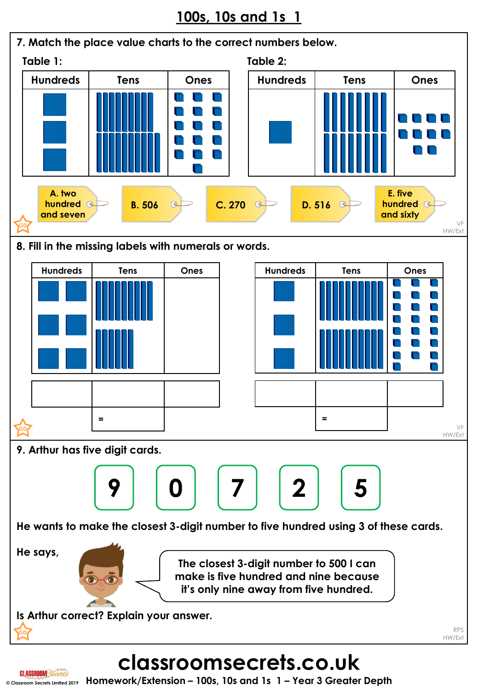



## **classroomsecrets.co.uk**

**© Classroom Secrets Limited 2019 Homework/Extension – 100s, 10s and 1s 1 – Year 3 Greater Depth**